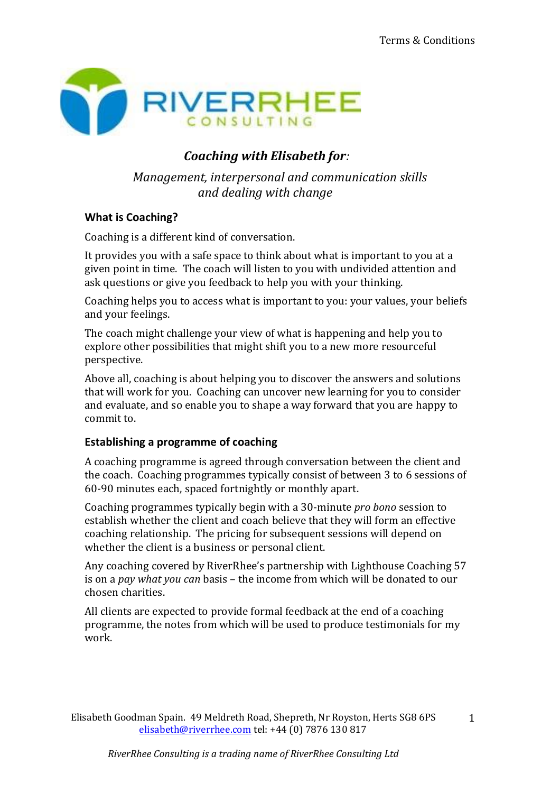

# *Coaching with Elisabeth for:*

*Management, interpersonal and communication skills and dealing with change*

# **What is Coaching?**

Coaching is a different kind of conversation.

It provides you with a safe space to think about what is important to you at a given point in time. The coach will listen to you with undivided attention and ask questions or give you feedback to help you with your thinking.

Coaching helps you to access what is important to you: your values, your beliefs and your feelings.

The coach might challenge your view of what is happening and help you to explore other possibilities that might shift you to a new more resourceful perspective.

Above all, coaching is about helping you to discover the answers and solutions that will work for you. Coaching can uncover new learning for you to consider and evaluate, and so enable you to shape a way forward that you are happy to commit to.

## **Establishing a programme of coaching**

A coaching programme is agreed through conversation between the client and the coach. Coaching programmes typically consist of between 3 to 6 sessions of 60-90 minutes each, spaced fortnightly or monthly apart.

Coaching programmes typically begin with a 30-minute *pro bono* session to establish whether the client and coach believe that they will form an effective coaching relationship. The pricing for subsequent sessions will depend on whether the client is a business or personal client.

Any coaching covered by RiverRhee's partnership with Lighthouse Coaching 57 is on a *pay what you can* basis – the income from which will be donated to our chosen charities.

All clients are expected to provide formal feedback at the end of a coaching programme, the notes from which will be used to produce testimonials for my work.

Elisabeth Goodman Spain. 49 Meldreth Road, Shepreth, Nr Royston, Herts SG8 6PS [elisabeth@riverrhee.com](mailto:elisabeth@riverrhee.com) tel: +44 (0) 7876 130 817